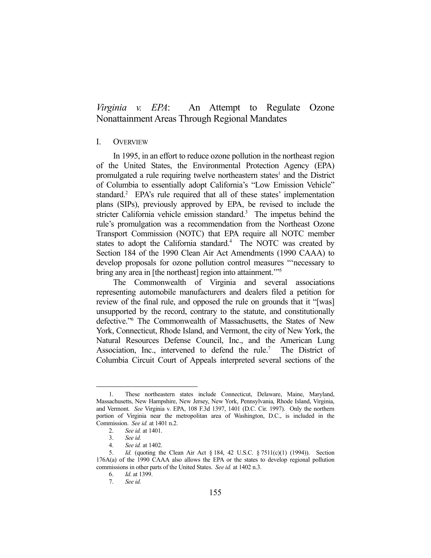# *Virginia v. EPA*: An Attempt to Regulate Ozone Nonattainment Areas Through Regional Mandates

# I. OVERVIEW

 In 1995, in an effort to reduce ozone pollution in the northeast region of the United States, the Environmental Protection Agency (EPA) promulgated a rule requiring twelve northeastern states<sup>1</sup> and the District of Columbia to essentially adopt California's "Low Emission Vehicle" standard.<sup>2</sup> EPA's rule required that all of these states' implementation plans (SIPs), previously approved by EPA, be revised to include the stricter California vehicle emission standard.<sup>3</sup> The impetus behind the rule's promulgation was a recommendation from the Northeast Ozone Transport Commission (NOTC) that EPA require all NOTC member states to adopt the California standard.<sup>4</sup> The NOTC was created by Section 184 of the 1990 Clean Air Act Amendments (1990 CAAA) to develop proposals for ozone pollution control measures "'necessary to bring any area in [the northeast] region into attainment."<sup>55</sup>

 The Commonwealth of Virginia and several associations representing automobile manufacturers and dealers filed a petition for review of the final rule, and opposed the rule on grounds that it "[was] unsupported by the record, contrary to the statute, and constitutionally defective."6 The Commonwealth of Massachusetts, the States of New York, Connecticut, Rhode Island, and Vermont, the city of New York, the Natural Resources Defense Council, Inc., and the American Lung Association, Inc., intervened to defend the rule.<sup>7</sup> The District of Columbia Circuit Court of Appeals interpreted several sections of the

<u>.</u>

 <sup>1.</sup> These northeastern states include Connecticut, Delaware, Maine, Maryland, Massachusetts, New Hampshire, New Jersey, New York, Pennsylvania, Rhode Island, Virginia, and Vermont. *See* Virginia v. EPA, 108 F.3d 1397, 1401 (D.C. Cir. 1997). Only the northern portion of Virginia near the metropolitan area of Washington, D.C., is included in the Commission. *See id.* at 1401 n.2.

 <sup>2.</sup> *See id.* at 1401.

 <sup>3.</sup> *See id.*

 <sup>4.</sup> *See id.* at 1402.

 <sup>5.</sup> *Id.* (quoting the Clean Air Act § 184, 42 U.S.C. § 7511(c)(1) (1994)). Section 176A(a) of the 1990 CAAA also allows the EPA or the states to develop regional pollution commissions in other parts of the United States. *See id.* at 1402 n.3.

 <sup>6.</sup> *Id*. at 1399.

 <sup>7.</sup> *See id.*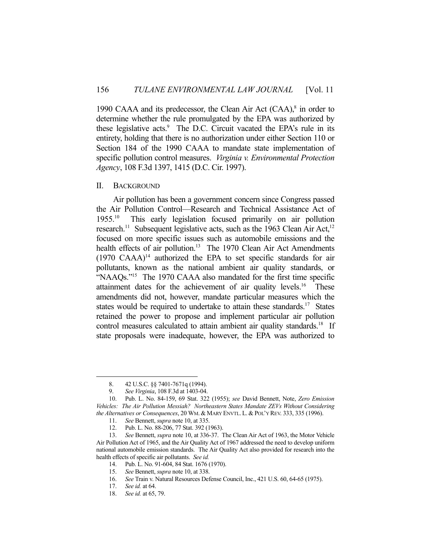1990 CAAA and its predecessor, the Clean Air Act  $(CAA)$ ,<sup>8</sup> in order to determine whether the rule promulgated by the EPA was authorized by these legislative acts.<sup>9</sup> The D.C. Circuit vacated the EPA's rule in its entirety, holding that there is no authorization under either Section 110 or Section 184 of the 1990 CAAA to mandate state implementation of specific pollution control measures. *Virginia v. Environmental Protection Agency*, 108 F.3d 1397, 1415 (D.C. Cir. 1997).

### II. BACKGROUND

 Air pollution has been a government concern since Congress passed the Air Pollution Control—Research and Technical Assistance Act of 1955.10 This early legislation focused primarily on air pollution research.<sup>11</sup> Subsequent legislative acts, such as the 1963 Clean Air Act,<sup>12</sup> focused on more specific issues such as automobile emissions and the health effects of air pollution.<sup>13</sup> The 1970 Clean Air Act Amendments  $(1970 \text{ CAAA})^{14}$  authorized the EPA to set specific standards for air pollutants, known as the national ambient air quality standards, or "NAAQs."<sup>15</sup> The 1970 CAAA also mandated for the first time specific attainment dates for the achievement of air quality levels.<sup>16</sup> These amendments did not, however, mandate particular measures which the states would be required to undertake to attain these standards.<sup>17</sup> States retained the power to propose and implement particular air pollution control measures calculated to attain ambient air quality standards.<sup>18</sup> If state proposals were inadequate, however, the EPA was authorized to

<u>.</u>

 <sup>8. 42</sup> U.S.C. §§ 7401-7671q (1994).

 <sup>9.</sup> *See Virginia*, 108 F.3d at 1403-04.

 <sup>10.</sup> Pub. L. No. 84-159, 69 Stat. 322 (1955); *see* David Bennett, Note, *Zero Emission Vehicles: The Air Pollution Messiah? Northeastern States Mandate ZEVs Without Considering the Alternatives or Consequences*, 20 WM. & MARY ENVTL. L. & POL'Y REV. 333, 335 (1996).

 <sup>11.</sup> *See* Bennett, *supra* note 10, at 335.

 <sup>12.</sup> Pub. L. No. 88-206, 77 Stat. 392 (1963).

 <sup>13.</sup> *See* Bennett, *supra* note 10, at 336-37. The Clean Air Act of 1963, the Motor Vehicle Air Pollution Act of 1965, and the Air Quality Act of 1967 addressed the need to develop uniform national automobile emission standards. The Air Quality Act also provided for research into the health effects of specific air pollutants. *See id.*

 <sup>14.</sup> Pub. L. No. 91-604, 84 Stat. 1676 (1970).

 <sup>15.</sup> *See* Bennett, *supra* note 10, at 338.

 <sup>16.</sup> *See* Train v. Natural Resources Defense Council, Inc., 421 U.S. 60, 64-65 (1975).

 <sup>17.</sup> *See id.* at 64.

 <sup>18.</sup> *See id.* at 65, 79.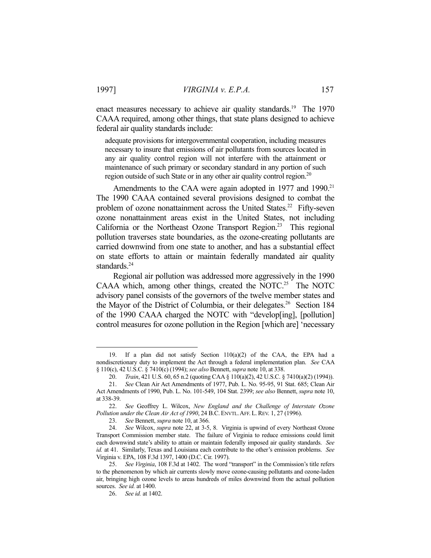enact measures necessary to achieve air quality standards.<sup>19</sup> The 1970 CAAA required, among other things, that state plans designed to achieve federal air quality standards include:

adequate provisions for intergovernmental cooperation, including measures necessary to insure that emissions of air pollutants from sources located in any air quality control region will not interfere with the attainment or maintenance of such primary or secondary standard in any portion of such region outside of such State or in any other air quality control region.<sup>20</sup>

Amendments to the CAA were again adopted in 1977 and 1990.<sup>21</sup> The 1990 CAAA contained several provisions designed to combat the problem of ozone nonattainment across the United States.<sup>22</sup> Fifty-seven ozone nonattainment areas exist in the United States, not including California or the Northeast Ozone Transport Region.<sup>23</sup> This regional pollution traverses state boundaries, as the ozone-creating pollutants are carried downwind from one state to another, and has a substantial effect on state efforts to attain or maintain federally mandated air quality standards.<sup>24</sup>

 Regional air pollution was addressed more aggressively in the 1990 CAAA which, among other things, created the NOTC.<sup>25</sup> The NOTC advisory panel consists of the governors of the twelve member states and the Mayor of the District of Columbia, or their delegates.<sup>26</sup> Section 184 of the 1990 CAAA charged the NOTC with "develop[ing], [pollution] control measures for ozone pollution in the Region [which are] 'necessary

<sup>19.</sup> If a plan did not satisfy Section  $110(a)(2)$  of the CAA, the EPA had a nondiscretionary duty to implement the Act through a federal implementation plan. *See* CAA § 110(c), 42 U.S.C. § 7410(c) (1994); *see also* Bennett, *supra* note 10, at 338.

 <sup>20.</sup> *Train*, 421 U.S. 60, 65 n.2 (quoting CAA § 110(a)(2), 42 U.S.C. § 7410(a)(2) (1994)).

 <sup>21.</sup> *See* Clean Air Act Amendments of 1977, Pub. L. No. 95-95, 91 Stat. 685; Clean Air Act Amendments of 1990, Pub. L. No. 101-549, 104 Stat. 2399; *see also* Bennett, *supra* note 10, at 338-39.

 <sup>22.</sup> *See* Geoffrey L. Wilcox, *New England and the Challenge of Interstate Ozone Pollution under the Clean Air Act of 1990*, 24 B.C. ENVTL.AFF. L. REV. 1, 27 (1996).

 <sup>23.</sup> *See* Bennett, *supra* note 10, at 366.

 <sup>24.</sup> *See* Wilcox, *supra* note 22, at 3-5, 8. Virginia is upwind of every Northeast Ozone Transport Commission member state. The failure of Virginia to reduce emissions could limit each downwind state's ability to attain or maintain federally imposed air quality standards. *See id.* at 41. Similarly, Texas and Louisiana each contribute to the other's emission problems. *See* Virginia v. EPA, 108 F.3d 1397, 1400 (D.C. Cir. 1997).

 <sup>25.</sup> *See Virginia*, 108 F.3d at 1402. The word "transport" in the Commission's title refers to the phenomenon by which air currents slowly move ozone-causing pollutants and ozone-laden air, bringing high ozone levels to areas hundreds of miles downwind from the actual pollution sources. *See id.* at 1400.

 <sup>26.</sup> *See id.* at 1402.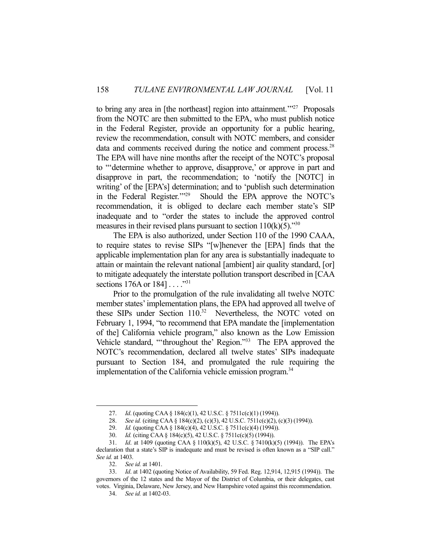to bring any area in [the northeast] region into attainment.<sup>"27</sup> Proposals from the NOTC are then submitted to the EPA, who must publish notice in the Federal Register, provide an opportunity for a public hearing, review the recommendation, consult with NOTC members, and consider data and comments received during the notice and comment process.<sup>28</sup> The EPA will have nine months after the receipt of the NOTC's proposal to "'determine whether to approve, disapprove,' or approve in part and disapprove in part, the recommendation; to 'notify the [NOTC] in writing' of the [EPA's] determination; and to 'publish such determination in the Federal Register.'"29 Should the EPA approve the NOTC's recommendation, it is obliged to declare each member state's SIP inadequate and to "order the states to include the approved control measures in their revised plans pursuant to section  $110(k)(5)$ ."<sup>30</sup>

 The EPA is also authorized, under Section 110 of the 1990 CAAA, to require states to revise SIPs "[w]henever the [EPA] finds that the applicable implementation plan for any area is substantially inadequate to attain or maintain the relevant national [ambient] air quality standard, [or] to mitigate adequately the interstate pollution transport described in [CAA sections  $176A$  or  $184$ ]..."<sup>31</sup>

 Prior to the promulgation of the rule invalidating all twelve NOTC member states' implementation plans, the EPA had approved all twelve of these SIPs under Section 110.<sup>32</sup> Nevertheless, the NOTC voted on February 1, 1994, "to recommend that EPA mandate the [implementation of the] California vehicle program," also known as the Low Emission Vehicle standard, "'throughout the' Region."33 The EPA approved the NOTC's recommendation, declared all twelve states' SIPs inadequate pursuant to Section 184, and promulgated the rule requiring the implementation of the California vehicle emission program.<sup>34</sup>

<sup>27.</sup> *Id.* (quoting CAA § 184(c)(1), 42 U.S.C. § 7511c(c)(1) (1994)).<br>28. *See id.* (citing CAA § 184(c)(2), (c)(3), 42 U.S.C. 7511c(c)(2), (

See id. (citing CAA § 184(c)(2), (c)(3), 42 U.S.C. 7511c(c)(2), (c)(3) (1994)).

 <sup>29.</sup> *Id.* (quoting CAA § 184(c)(4), 42 U.S.C. § 7511c(c)(4) (1994)).

 <sup>30.</sup> *Id.* (citing CAA § 184(c)(5), 42 U.S.C. § 7511c(c)(5) (1994)).

 <sup>31.</sup> *Id*. at 1409 (quoting CAA § 110(k)(5), 42 U.S.C. § 7410(k)(5) (1994)). The EPA's declaration that a state's SIP is inadequate and must be revised is often known as a "SIP call." *See id.* at 1403.

 <sup>32.</sup> *See id.* at 1401.

 <sup>33.</sup> *Id*. at 1402 (quoting Notice of Availability, 59 Fed. Reg. 12,914, 12,915 (1994)). The governors of the 12 states and the Mayor of the District of Columbia, or their delegates, cast votes. Virginia, Delaware, New Jersey, and New Hampshire voted against this recommendation.

 <sup>34.</sup> *See id.* at 1402-03.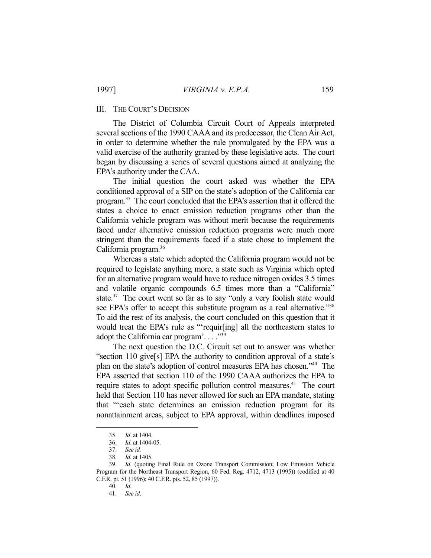## III. THE COURT'S DECISION

 The District of Columbia Circuit Court of Appeals interpreted several sections of the 1990 CAAA and its predecessor, the Clean Air Act, in order to determine whether the rule promulgated by the EPA was a valid exercise of the authority granted by these legislative acts. The court began by discussing a series of several questions aimed at analyzing the EPA's authority under the CAA.

 The initial question the court asked was whether the EPA conditioned approval of a SIP on the state's adoption of the California car program.35 The court concluded that the EPA's assertion that it offered the states a choice to enact emission reduction programs other than the California vehicle program was without merit because the requirements faced under alternative emission reduction programs were much more stringent than the requirements faced if a state chose to implement the California program.36

 Whereas a state which adopted the California program would not be required to legislate anything more, a state such as Virginia which opted for an alternative program would have to reduce nitrogen oxides 3.5 times and volatile organic compounds 6.5 times more than a "California" state.<sup>37</sup> The court went so far as to say "only a very foolish state would see EPA's offer to accept this substitute program as a real alternative."<sup>38</sup> To aid the rest of its analysis, the court concluded on this question that it would treat the EPA's rule as "'requir[ing] all the northeastern states to adopt the California car program'...."<sup>39</sup>

 The next question the D.C. Circuit set out to answer was whether "section 110 give[s] EPA the authority to condition approval of a state's plan on the state's adoption of control measures EPA has chosen."40 The EPA asserted that section 110 of the 1990 CAAA authorizes the EPA to require states to adopt specific pollution control measures.<sup>41</sup> The court held that Section 110 has never allowed for such an EPA mandate, stating that "'each state determines an emission reduction program for its nonattainment areas, subject to EPA approval, within deadlines imposed

 <sup>35.</sup> *Id*. at 1404.

 <sup>36.</sup> *Id*. at 1404-05.

 <sup>37.</sup> *See id.*

 <sup>38.</sup> *Id.* at 1405.

 <sup>39.</sup> *Id.* (quoting Final Rule on Ozone Transport Commission; Low Emission Vehicle Program for the Northeast Transport Region, 60 Fed. Reg. 4712, 4713 (1995)) (codified at 40 C.F.R. pt. 51 (1996); 40 C.F.R. pts. 52, 85 (1997)).

 <sup>40.</sup> *Id.*

 <sup>41.</sup> *See id*.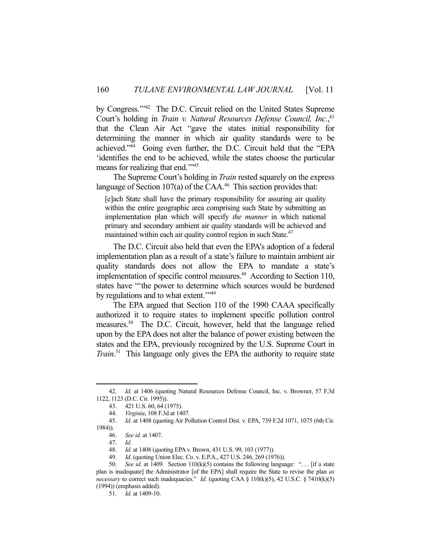by Congress."<sup>342</sup> The D.C. Circuit relied on the United States Supreme Court's holding in *Train v. Natural Resources Defense Council, Inc.*<sup>43</sup> that the Clean Air Act "gave the states initial responsibility for determining the manner in which air quality standards were to be achieved."44 Going even further, the D.C. Circuit held that the "EPA 'identifies the end to be achieved, while the states choose the particular means for realizing that end."<sup>45</sup>

 The Supreme Court's holding in *Train* rested squarely on the express language of Section  $107(a)$  of the CAA.<sup>46</sup> This section provides that:

[e]ach State shall have the primary responsibility for assuring air quality within the entire geographic area comprising such State by submitting an implementation plan which will specify *the manner* in which national primary and secondary ambient air quality standards will be achieved and maintained within each air quality control region in such State.<sup>47</sup>

 The D.C. Circuit also held that even the EPA's adoption of a federal implementation plan as a result of a state's failure to maintain ambient air quality standards does not allow the EPA to mandate a state's implementation of specific control measures. $48$  According to Section 110, states have "'the power to determine which sources would be burdened by regulations and to what extent."<sup>49</sup>

 The EPA argued that Section 110 of the 1990 CAAA specifically authorized it to require states to implement specific pollution control measures.50 The D.C. Circuit, however, held that the language relied upon by the EPA does not alter the balance of power existing between the states and the EPA, previously recognized by the U.S. Supreme Court in *Train*. 51 This language only gives the EPA the authority to require state

 <sup>42.</sup> *Id*. at 1406 (quoting Natural Resources Defense Council, Inc. v. Browner, 57 F.3d 1122, 1123 (D.C. Cir. 1995)).

 <sup>43. 421</sup> U.S. 60, 64 (1975).

 <sup>44.</sup> *Virginia*, 108 F.3d at 1407.

 <sup>45.</sup> *Id*. at 1408 (quoting Air Pollution Control Dist. v. EPA, 739 F.2d 1071, 1075 (6th Cir. 1984)).

 <sup>46.</sup> *See id.* at 1407.

 <sup>47.</sup> *Id.*

 <sup>48.</sup> *Id.* at 1408 (quoting EPA v. Brown, 431 U.S. 99, 103 (1977)).

 <sup>49.</sup> *Id*. (quoting Union Elec. Co. v. E.P.A., 427 U.S. 246, 269 (1976)).

<sup>50.</sup> *See id.* at 1409. Section 110(k)(5) contains the following language: "... [if a state plan is inadequate] the Administrator [of the EPA] shall require the State to revise the plan *as necessary* to correct such inadequacies." *Id.* (quoting CAA § 110(k)(5), 42 U.S.C. § 7410(k)(5) (1994)) (emphasis added).

 <sup>51.</sup> *Id.* at 1409-10.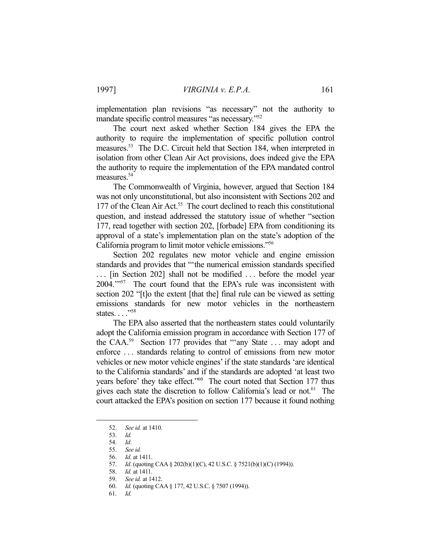implementation plan revisions "as necessary" not the authority to mandate specific control measures "as necessary."52

 The court next asked whether Section 184 gives the EPA the authority to require the implementation of specific pollution control measures.53 The D.C. Circuit held that Section 184, when interpreted in isolation from other Clean Air Act provisions, does indeed give the EPA the authority to require the implementation of the EPA mandated control measures.54

 The Commonwealth of Virginia, however, argued that Section 184 was not only unconstitutional, but also inconsistent with Sections 202 and 177 of the Clean Air Act.<sup>55</sup> The court declined to reach this constitutional question, and instead addressed the statutory issue of whether "section 177, read together with section 202, [forbade] EPA from conditioning its approval of a state's implementation plan on the state's adoption of the California program to limit motor vehicle emissions."56

 Section 202 regulates new motor vehicle and engine emission standards and provides that "'the numerical emission standards specified ... [in Section 202] shall not be modified ... before the model year 2004.'"57 The court found that the EPA's rule was inconsistent with section 202 "[t]o the extent [that the] final rule can be viewed as setting emissions standards for new motor vehicles in the northeastern states. . . .<sup>"58</sup>

 The EPA also asserted that the northeastern states could voluntarily adopt the California emission program in accordance with Section 177 of the CAA.<sup>59</sup> Section 177 provides that "'any State ... may adopt and enforce . . . standards relating to control of emissions from new motor vehicles or new motor vehicle engines' if the state standards 'are identical to the California standards' and if the standards are adopted 'at least two years before' they take effect."<sup>60</sup> The court noted that Section 177 thus gives each state the discretion to follow California's lead or not.61The court attacked the EPA's position on section 177 because it found nothing

1

61. *Id.*

 <sup>52.</sup> *See id.* at 1410.

 <sup>53.</sup> *Id.*

 <sup>54.</sup> *Id*.

 <sup>55.</sup> *See id.*

 <sup>56.</sup> *Id.* at 1411.

 <sup>57.</sup> *Id*. (quoting CAA § 202(b)(1)(C), 42 U.S.C. § 7521(b)(1)(C) (1994)).

 <sup>58.</sup> *Id.* at 1411.

 <sup>59.</sup> *See id.* at 1412.

 <sup>60.</sup> *Id.* (quoting CAA § 177, 42 U.S.C. § 7507 (1994)).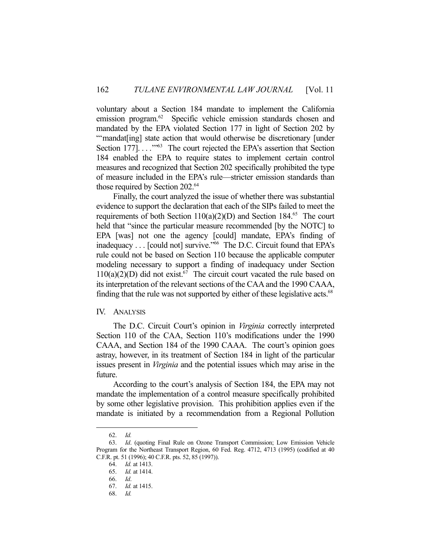voluntary about a Section 184 mandate to implement the California emission program.<sup>62</sup> Specific vehicle emission standards chosen and mandated by the EPA violated Section 177 in light of Section 202 by "'mandat[ing] state action that would otherwise be discretionary [under Section 177]...."<sup>53</sup> The court rejected the EPA's assertion that Section 184 enabled the EPA to require states to implement certain control measures and recognized that Section 202 specifically prohibited the type of measure included in the EPA's rule—stricter emission standards than those required by Section 202.<sup>64</sup>

 Finally, the court analyzed the issue of whether there was substantial evidence to support the declaration that each of the SIPs failed to meet the requirements of both Section  $110(a)(2)(D)$  and Section 184.<sup>65</sup> The court held that "since the particular measure recommended [by the NOTC] to EPA [was] not one the agency [could] mandate, EPA's finding of inadequacy . . . [could not] survive."<sup>66</sup> The D.C. Circuit found that EPA's rule could not be based on Section 110 because the applicable computer modeling necessary to support a finding of inadequacy under Section  $110(a)(2)(D)$  did not exist.<sup>67</sup> The circuit court vacated the rule based on its interpretation of the relevant sections of the CAA and the 1990 CAAA, finding that the rule was not supported by either of these legislative acts.<sup>68</sup>

#### IV. ANALYSIS

 The D.C. Circuit Court's opinion in *Virginia* correctly interpreted Section 110 of the CAA, Section 110's modifications under the 1990 CAAA, and Section 184 of the 1990 CAAA. The court's opinion goes astray, however, in its treatment of Section 184 in light of the particular issues present in *Virginia* and the potential issues which may arise in the future.

 According to the court's analysis of Section 184, the EPA may not mandate the implementation of a control measure specifically prohibited by some other legislative provision. This prohibition applies even if the mandate is initiated by a recommendation from a Regional Pollution

 <sup>62.</sup> *Id.*

 <sup>63.</sup> *Id*. (quoting Final Rule on Ozone Transport Commission; Low Emission Vehicle Program for the Northeast Transport Region, 60 Fed. Reg. 4712, 4713 (1995) (codified at 40 C.F.R. pt. 51 (1996); 40 C.F.R. pts. 52, 85 (1997)).

 <sup>64.</sup> *Id.* at 1413.

 <sup>65.</sup> *Id.* at 1414.

 <sup>66.</sup> *Id*.

 <sup>67.</sup> *Id.* at 1415.

 <sup>68.</sup> *Id.*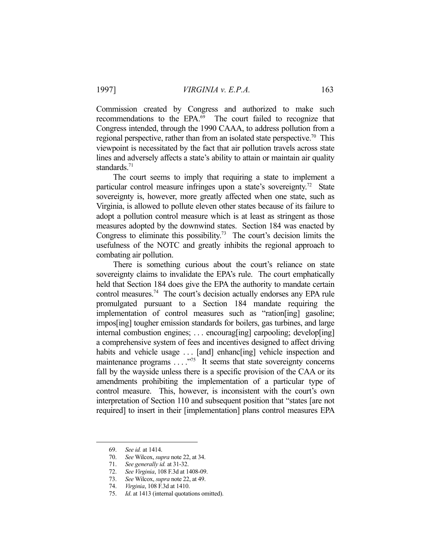Commission created by Congress and authorized to make such recommendations to the EPA.<sup>69</sup> The court failed to recognize that Congress intended, through the 1990 CAAA, to address pollution from a regional perspective, rather than from an isolated state perspective.<sup>70</sup> This viewpoint is necessitated by the fact that air pollution travels across state lines and adversely affects a state's ability to attain or maintain air quality standards.<sup>71</sup>

 The court seems to imply that requiring a state to implement a particular control measure infringes upon a state's sovereignty.<sup>72</sup> State sovereignty is, however, more greatly affected when one state, such as Virginia, is allowed to pollute eleven other states because of its failure to adopt a pollution control measure which is at least as stringent as those measures adopted by the downwind states. Section 184 was enacted by Congress to eliminate this possibility.<sup>73</sup> The court's decision limits the usefulness of the NOTC and greatly inhibits the regional approach to combating air pollution.

 There is something curious about the court's reliance on state sovereignty claims to invalidate the EPA's rule. The court emphatically held that Section 184 does give the EPA the authority to mandate certain control measures.<sup>74</sup> The court's decision actually endorses any EPA rule promulgated pursuant to a Section 184 mandate requiring the implementation of control measures such as "ration[ing] gasoline; impos[ing] tougher emission standards for boilers, gas turbines, and large internal combustion engines; . . . encourag[ing] carpooling; develop[ing] a comprehensive system of fees and incentives designed to affect driving habits and vehicle usage ... [and] enhanc[ing] vehicle inspection and maintenance programs  $\dots$ ."<sup>75</sup> It seems that state sovereignty concerns fall by the wayside unless there is a specific provision of the CAA or its amendments prohibiting the implementation of a particular type of control measure. This, however, is inconsistent with the court's own interpretation of Section 110 and subsequent position that "states [are not required] to insert in their [implementation] plans control measures EPA

 <sup>69.</sup> *See id.* at 1414.

 <sup>70.</sup> *See* Wilcox, *supra* note 22, at 34.

 <sup>71.</sup> *See generally id.* at 31-32.

 <sup>72.</sup> *See Virginia*, 108 F.3d at 1408-09.

 <sup>73.</sup> *See* Wilcox, *supra* note 22, at 49.

 <sup>74.</sup> *Virginia*, 108 F.3d at 1410.

 <sup>75.</sup> *Id*. at 1413 (internal quotations omitted).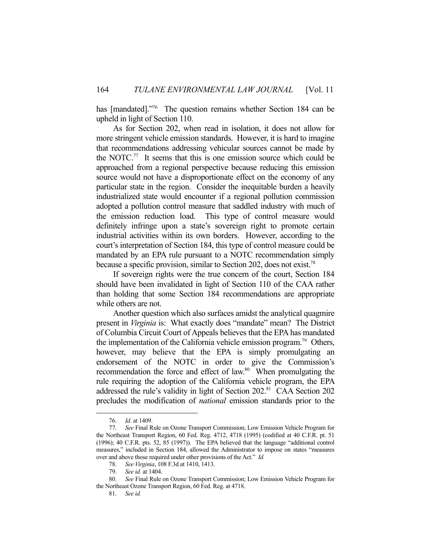has [mandated]."<sup>76</sup> The question remains whether Section 184 can be upheld in light of Section 110.

 As for Section 202, when read in isolation, it does not allow for more stringent vehicle emission standards. However, it is hard to imagine that recommendations addressing vehicular sources cannot be made by the NOTC.<sup>77</sup> It seems that this is one emission source which could be approached from a regional perspective because reducing this emission source would not have a disproportionate effect on the economy of any particular state in the region. Consider the inequitable burden a heavily industrialized state would encounter if a regional pollution commission adopted a pollution control measure that saddled industry with much of the emission reduction load. This type of control measure would definitely infringe upon a state's sovereign right to promote certain industrial activities within its own borders. However, according to the court's interpretation of Section 184, this type of control measure could be mandated by an EPA rule pursuant to a NOTC recommendation simply because a specific provision, similar to Section 202, does not exist.78

 If sovereign rights were the true concern of the court, Section 184 should have been invalidated in light of Section 110 of the CAA rather than holding that some Section 184 recommendations are appropriate while others are not.

 Another question which also surfaces amidst the analytical quagmire present in *Virginia* is: What exactly does "mandate" mean? The District of Columbia Circuit Court of Appeals believes that the EPA has mandated the implementation of the California vehicle emission program.<sup>79</sup> Others, however, may believe that the EPA is simply promulgating an endorsement of the NOTC in order to give the Commission's recommendation the force and effect of law.<sup>80</sup> When promulgating the rule requiring the adoption of the California vehicle program, the EPA addressed the rule's validity in light of Section 202.<sup>81</sup> CAA Section 202 precludes the modification of *national* emission standards prior to the

<u>.</u>

 <sup>76.</sup> *Id.* at 1409.

 <sup>77.</sup> *See* Final Rule on Ozone Transport Commission; Low Emission Vehicle Program for the Northeast Transport Region, 60 Fed. Reg. 4712, 4718 (1995) (codified at 40 C.F.R. pt. 51 (1996); 40 C.F.R. pts. 52, 85 (1997)). The EPA believed that the language "additional control measures," included in Section 184, allowed the Administrator to impose on states "measures over and above those required under other provisions of the Act." *Id.*

 <sup>78.</sup> *See Virginia*, 108 F.3d at 1410, 1413.

 <sup>79.</sup> *See id.* at 1404.

 <sup>80.</sup> *See* Final Rule on Ozone Transport Commission; Low Emission Vehicle Program for the Northeast Ozone Transport Region, 60 Fed. Reg. at 4718.

 <sup>81.</sup> *See id.*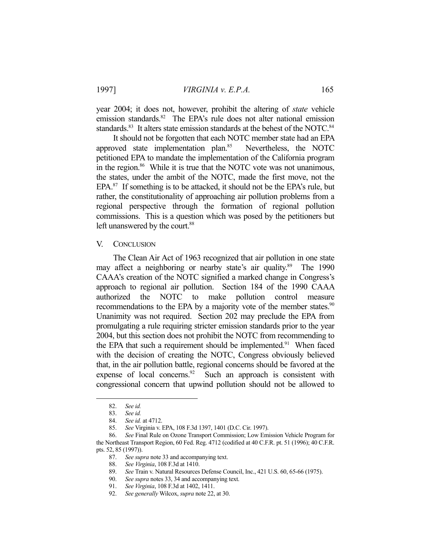1997] *VIRGINIA v. E.P.A.* 165

year 2004; it does not, however, prohibit the altering of *state* vehicle emission standards.<sup>82</sup> The EPA's rule does not alter national emission standards.<sup>83</sup> It alters state emission standards at the behest of the NOTC.<sup>84</sup>

 It should not be forgotten that each NOTC member state had an EPA approved state implementation plan.<sup>85</sup> Nevertheless, the NOTC petitioned EPA to mandate the implementation of the California program in the region.<sup>86</sup> While it is true that the NOTC vote was not unanimous, the states, under the ambit of the NOTC, made the first move, not the EPA.<sup>87</sup> If something is to be attacked, it should not be the EPA's rule, but rather, the constitutionality of approaching air pollution problems from a regional perspective through the formation of regional pollution commissions. This is a question which was posed by the petitioners but left unanswered by the court.<sup>88</sup>

# V. CONCLUSION

 The Clean Air Act of 1963 recognized that air pollution in one state may affect a neighboring or nearby state's air quality.<sup>89</sup> The 1990 CAAA's creation of the NOTC signified a marked change in Congress's approach to regional air pollution. Section 184 of the 1990 CAAA authorized the NOTC to make pollution control measure recommendations to the EPA by a majority vote of the member states.<sup>90</sup> Unanimity was not required. Section 202 may preclude the EPA from promulgating a rule requiring stricter emission standards prior to the year 2004, but this section does not prohibit the NOTC from recommending to the EPA that such a requirement should be implemented.<sup>91</sup> When faced with the decision of creating the NOTC, Congress obviously believed that, in the air pollution battle, regional concerns should be favored at the expense of local concerns. $92$  Such an approach is consistent with congressional concern that upwind pollution should not be allowed to

1

 86. *See* Final Rule on Ozone Transport Commission; Low Emission Vehicle Program for the Northeast Transport Region, 60 Fed. Reg. 4712 (codified at 40 C.F.R. pt. 51 (1996); 40 C.F.R. pts. 52, 85 (1997)).

 <sup>82.</sup> *See id.*

 <sup>83.</sup> *See id.*

 <sup>84.</sup> *See id.* at 4712.

 <sup>85.</sup> *See* Virginia v. EPA, 108 F.3d 1397, 1401 (D.C. Cir. 1997).

 <sup>87.</sup> *See supra* note 33 and accompanying text.

 <sup>88.</sup> *See Virginia*, 108 F.3d at 1410.

 <sup>89.</sup> *See* Train v. Natural Resources Defense Council, Inc., 421 U.S. 60, 65-66 (1975).

 <sup>90.</sup> *See supra* notes 33, 34 and accompanying text.

 <sup>91.</sup> *See Virginia*, 108 F.3d at 1402, 1411.

 <sup>92.</sup> *See generally* Wilcox, *supra* note 22, at 30.